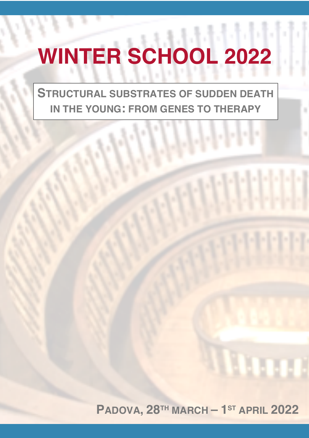# **WINTER SCHOOL 2022**

**STRUCTURAL SUBSTRATES OF SUDDEN DEATH IN THE YOUNG: FROM GENES TO THERAPY**

 $\|.\|.\|.\|.\|$ 

**Militia** 

**PADOVA, 28TH MARCH – 1ST APRIL 2022**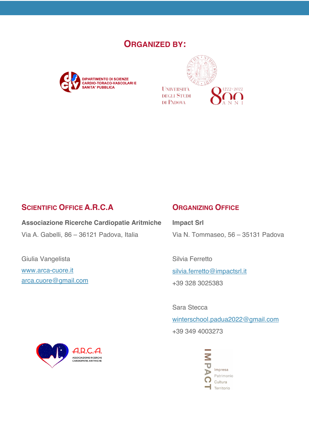# **ORGANIZED BY:**





# **SCIENTIFIC OFFICE A.R.C.A**

**Associazione Ricerche Cardiopatie Aritmiche** Via A. Gabelli, 86 – 36121 Padova, Italia

Giulia Vangelista www.arca-cuore.it arca.cuore@gmail.com

# **ORGANIZING OFFICE**

**Impact Srl** Via N. Tommaseo, 56 – 35131 Padova

Silvia Ferretto silvia.ferretto@impactsrl.it +39 328 3025383

Sara Stecca winterschool.padua2022@gmail.com +39 349 4003273



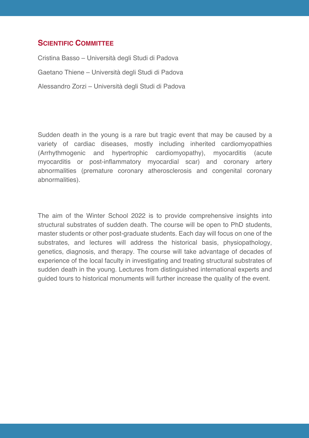## **SCIENTIFIC COMMITTEE**

Cristina Basso – Università degli Studi di Padova Gaetano Thiene – Università degli Studi di Padova Alessandro Zorzi – Università degli Studi di Padova

Sudden death in the young is a rare but tragic event that may be caused by a variety of cardiac diseases, mostly including inherited cardiomyopathies (Arrhythmogenic and hypertrophic cardiomyopathy), myocarditis (acute myocarditis or post-inflammatory myocardial scar) and coronary artery abnormalities (premature coronary atherosclerosis and congenital coronary abnormalities).

The aim of the Winter School 2022 is to provide comprehensive insights into structural substrates of sudden death. The course will be open to PhD students, master students or other post-graduate students. Each day will focus on one of the substrates, and lectures will address the historical basis, physiopathology, genetics, diagnosis, and therapy. The course will take advantage of decades of experience of the local faculty in investigating and treating structural substrates of sudden death in the young. Lectures from distinguished international experts and guided tours to historical monuments will further increase the quality of the event.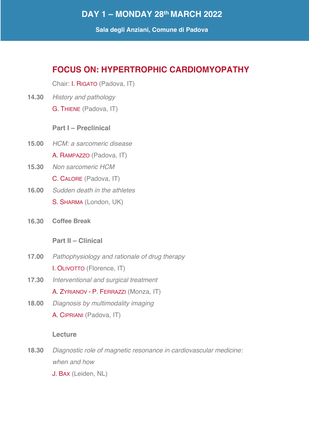# **DAY 1 – MONDAY 28th MARCH 2022**

**Sala degli Anziani, Comune di Padova**

# **FOCUS ON: HYPERTROPHIC CARDIOMYOPATHY**

Chair: I. RIGATO (Padova, IT)

**14.30** *History and pathology* G. THIENE (Padova, IT)

## **Part I – Preclinical**

- **15.00** *HCM: a sarcomeric disease* A. RAMPAZZO (Padova, IT)
- **15.30** *Non sarcomeric HCM* C. CALORE (Padova, IT)
- **16.00** *Sudden death in the athletes* S. SHARMA (London, UK)
- **16.30 Coffee Break**

## **Part II – Clinical**

- **17.00** *Pathophysiology and rationale of drug therapy* I. OLIVOTTO (Florence, IT)
- **17.30** *Interventional and surgical treatment*

A. ZYRIANOV - P. FERRAZZI (Monza, IT)

**18.00** *Diagnosis by multimodality imaging* A. CIPRIANI (Padova, IT)

## **Lecture**

- **18.30** *Diagnostic role of magnetic resonance in cardiovascular medicine: when and how*
	- J. BAX (Leiden, NL)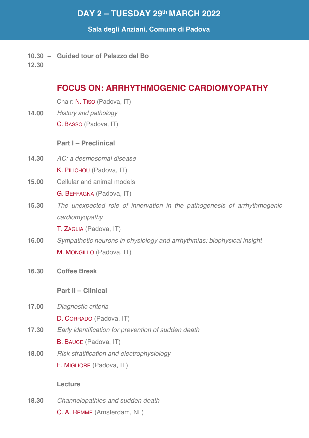# **DAY 2 – TUESDAY 29th MARCH 2022**

## **Sala degli Anziani, Comune di Padova**

**10.30 – Guided tour of Palazzo del Bo**

**12.30**

# **FOCUS ON: ARRHYTHMOGENIC CARDIOMYOPATHY**

Chair: N. TISO (Padova, IT)

**14.00** *History and pathology* C. BASSO (Padova, IT)

## **Part I – Preclinical**

- **14.30** *AC: a desmosomal disease* K. PILICHOU (Padova, IT)
- **15.00** Cellular and animal models G. BEFFAGNA (Padova, IT)
- **15.30** *The unexpected role of innervation in the pathogenesis of arrhythmogenic cardiomyopathy*

T. ZAGLIA (Padova, IT)

- **16.00** *Sympathetic neurons in physiology and arrhythmias: biophysical insight* M. MONGILLO (Padova, IT)
- **16.30 Coffee Break**

## **Part II – Clinical**

**17.00** *Diagnostic criteria*

D. CORRADO (Padova, IT)

**17.30** *Early identification for prevention of sudden death*

B. BAUCE (Padova, IT)

**18.00** *Risk stratification and electrophysiology*

F. MIGLIORE (Padova, IT)

## **Lecture**

**18.30** *Channelopathies and sudden death* C. A. REMME (Amsterdam, NL)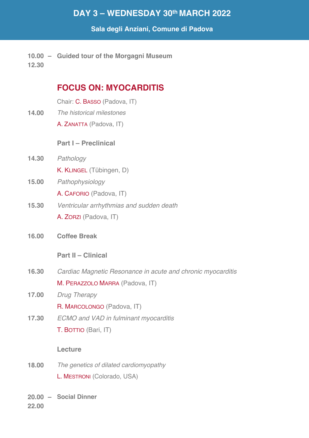# **DAY 3 – WEDNESDAY 30th MARCH 2022**

## **Sala degli Anziani, Comune di Padova**

**10.00 – Guided tour of the Morgagni Museum 12.30**

# **FOCUS ON: MYOCARDITIS**

Chair: C. BASSO (Padova, IT)

- **14.00** *The historical milestones* 
	- A. ZANATTA (Padova, IT)

## **Part I – Preclinical**

- **14.30** *Pathology* K. KLINGEL (Tübingen, D)
- **15.00** *Pathophysiology*

A. CAFORIO (Padova, IT)

- **15.30** *Ventricular arrhythmias and sudden death*  A. ZORZI (Padova, IT)
- **16.00 Coffee Break**

## **Part II – Clinical**

- **16.30** *Cardiac Magnetic Resonance in acute and chronic myocarditis* M. PERAZZOLO MARRA (Padova, IT)
- **17.00** *Drug Therapy*
	- R. MARCOLONGO (Padova, IT)
- **17.30** *ECMO and VAD in fulminant myocarditis* T. BOTTIO (Bari, IT)

## **Lecture**

- **18.00** *The genetics of dilated cardiomyopathy* L. MESTRONI (Colorado, USA)
- **20.00 – Social Dinner DAY 4 – THURSDAY 31st MARCH 2022**

**22.00**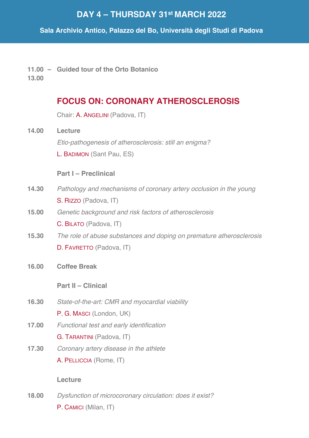# **DAY 4 – THURSDAY 31st MARCH 2022**

**Sala Archivio Antico, Palazzo del Bo, Università degli Studi di Padova**

**11.00 – Guided tour of the Orto Botanico**

**13.00**

# **FOCUS ON: CORONARY ATHEROSCLEROSIS**

Chair: A. ANGELINI (Padova, IT)

**14.00 Lecture** *Etio-pathogenesis of atherosclerosis: still an enigma?* L. BADIMON (Sant Pau, ES)

## **Part I – Preclinical**

- **14.30** *Pathology and mechanisms of coronary artery occlusion in the young* S. RIZZO (Padova, IT)
- **15.00** *Genetic background and risk factors of atherosclerosis* C. BILATO (Padova, IT)
- **15.30** *The role of abuse substances and doping on premature atherosclerosis* D. FAVRETTO (Padova, IT)
- **16.00 Coffee Break**

## **Part II – Clinical**

- **16.30** *State-of-the-art: CMR and myocardial viability* P. G. MASCI (London, UK)
- **17.00** *Functional test and early identification* G. TARANTINI (Padova, IT)
- **17.30** *Coronary artery disease in the athlete* A. PELLICCIA (Rome, IT)

## **Lecture**

**18.00** *Dysfunction of microcoronary circulation: does it exist?* P. CAMICI (Milan, IT)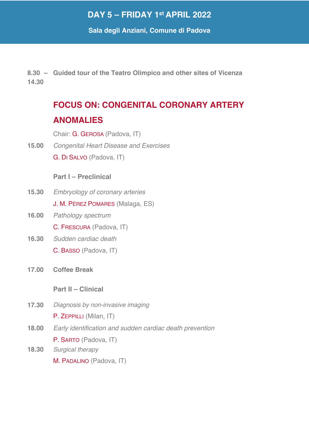# **DAY 5 – FRIDAY 1st APRIL 2022**

**Sala degli Anziani, Comune di Padova**

**8.30 – Guided tour of the Teatro Olimpico and other sites of Vicenza 14.30**

# **FOCUS ON: CONGENITAL CORONARY ARTERY ANOMALIES**

Chair: G. GEROSA (Padova, IT)

**15.00** *Congenital Heart Disease and Exercises* G. DI SALVO (Padova, IT)

## **Part I – Preclinical**

- **15.30** *Embryology of coronary arteries* J. M. PÉREZ POMARES (Malaga, ES)
- **16.00** *Pathology spectrum*

C. FRESCURA (Padova, IT)

- **16.30** *Sudden cardiac death* C. BASSO (Padova, IT)
- **17.00 Coffee Break**

**Part II – Clinical**

- **17.30** *Diagnosis by non-invasive imaging* P. ZEPPILLI (Milan, IT)
- **18.00** *Early identification and sudden cardiac death prevention* P. SARTO (Padova, IT)
- **18.30** *Surgical therapy* M. PADALINO (Padova, IT)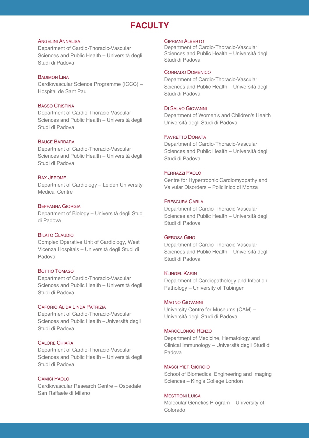# **FACULTY**

#### ANGELINI ANNALISA

Department of Cardio-Thoracic-Vascular Sciences and Public Health – Università degli Studi di Padova

#### BADIMON LINA

Cardiovascular Science Programme (ICCC) – Hospital de Sant Pau

#### BASSO CRISTINA

Department of Cardio-Thoracic-Vascular Sciences and Public Health – Università degli Studi di Padova

#### BAUCE BARBARA

Department of Cardio-Thoracic-Vascular Sciences and Public Health – Università degli Studi di Padova

#### BAX JEROME

Department of Cardiology – Leiden University Medical Centre

#### BEFFAGNA GIORGIA

Department of Biology – Università degli Studi di Padova

#### **BILATO CLAUDIO**

Complex Operative Unit of Cardiology, West Vicenza Hospitals – Università degli Studi di Padova

#### BOTTIO TOMASO

Department of Cardio-Thoracic-Vascular Sciences and Public Health – Università degli Studi di Padova

#### CAFORIO ALIDA LINDA PATRIZIA

Department of Cardio-Thoracic-Vascular Sciences and Public Health –Università degli Studi di Padova

#### CALORE CHIARA

Department of Cardio-Thoracic-Vascular Sciences and Public Health – Università degli Studi di Padova

#### CAMICI PAOLO

Cardiovascular Research Centre – Ospedale San Raffaele di Milano

#### CIPRIANI ALBERTO

Department of Cardio-Thoracic-Vascular Sciences and Public Health – Università degli Studi di Padova

#### CORRADO DOMENICO

Department of Cardio-Thoracic-Vascular Sciences and Public Health – Università degli Studi di Padova

#### DI SALVO GIOVANNI

Department of Women's and Children's Health Università degli Studi di Padova

#### FAVRETTO DONATA

Department of Cardio-Thoracic-Vascular Sciences and Public Health – Università degli Studi di Padova

#### FERRAZZI PAOLO

Centre for Hypertrophic Cardiomyopathy and Valvular Disorders – Policlinico di Monza

#### FRESCURA CARLA

Department of Cardio-Thoracic-Vascular Sciences and Public Health – Università degli Studi di Padova

#### GEROSA GINO

Department of Cardio-Thoracic-Vascular Sciences and Public Health – Università degli Studi di Padova

#### **KLINGEL KARIN**

Department of Cardiopathology and Infection Pathology – University of Tübingen

#### MAGNO GIOVANNI

University Centre for Museums (CAM) – Università degli Studi di Padova

#### MARCOLONGO RENZO

Department of Medicine, Hematology and Clinical Immunology – Università degli Studi di Padova

#### MASCI PIER GIORGIO

School of Biomedical Engineering and Imaging Sciences – King's College London

#### **MESTRONI LUISA**

Molecular Genetics Program – University of Colorado